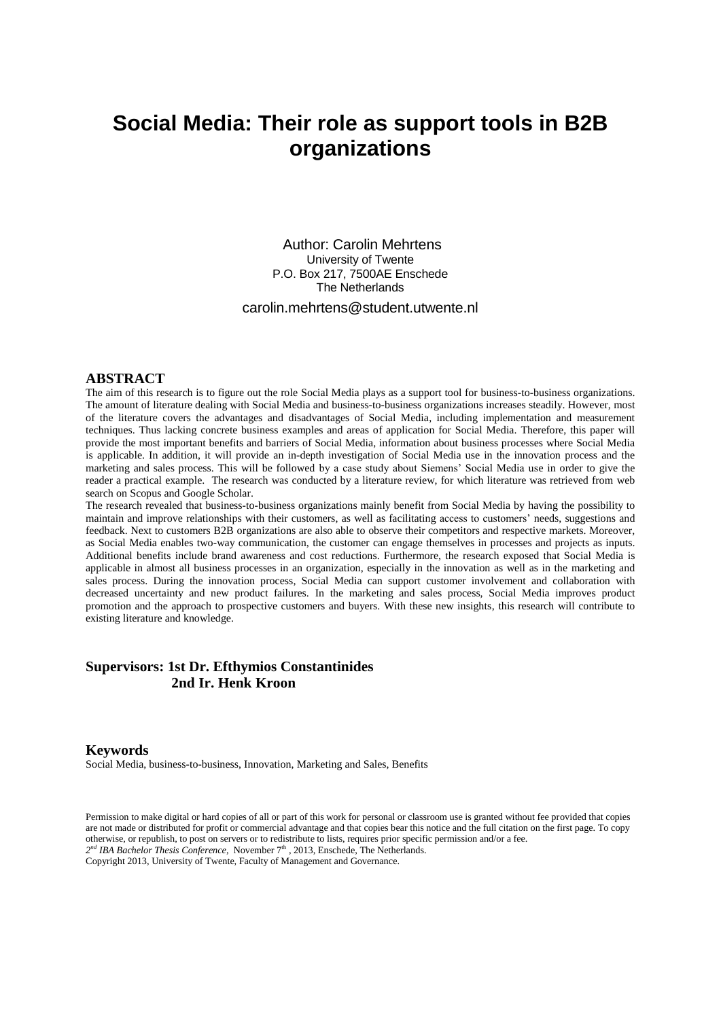# **Social Media: Their role as support tools in B2B organizations**

Author: Carolin Mehrtens University of Twente P.O. Box 217, 7500AE Enschede The Netherlands

carolin.mehrtens@student.utwente.nl

# **ABSTRACT**

The aim of this research is to figure out the role Social Media plays as a support tool for business-to-business organizations. The amount of literature dealing with Social Media and business-to-business organizations increases steadily. However, most of the literature covers the advantages and disadvantages of Social Media, including implementation and measurement techniques. Thus lacking concrete business examples and areas of application for Social Media. Therefore, this paper will provide the most important benefits and barriers of Social Media, information about business processes where Social Media is applicable. In addition, it will provide an in-depth investigation of Social Media use in the innovation process and the marketing and sales process. This will be followed by a case study about Siemens' Social Media use in order to give the reader a practical example. The research was conducted by a literature review, for which literature was retrieved from web search on Scopus and Google Scholar.

The research revealed that business-to-business organizations mainly benefit from Social Media by having the possibility to maintain and improve relationships with their customers, as well as facilitating access to customers' needs, suggestions and feedback. Next to customers B2B organizations are also able to observe their competitors and respective markets. Moreover, as Social Media enables two-way communication, the customer can engage themselves in processes and projects as inputs. Additional benefits include brand awareness and cost reductions. Furthermore, the research exposed that Social Media is applicable in almost all business processes in an organization, especially in the innovation as well as in the marketing and sales process. During the innovation process, Social Media can support customer involvement and collaboration with decreased uncertainty and new product failures. In the marketing and sales process, Social Media improves product promotion and the approach to prospective customers and buyers. With these new insights, this research will contribute to existing literature and knowledge.

# **Supervisors: 1st Dr. Efthymios Constantinides 2nd Ir. Henk Kroon**

### **Keywords**

Social Media, business-to-business, Innovation, Marketing and Sales, Benefits

Permission to make digital or hard copies of all or part of this work for personal or classroom use is granted without fee provided that copies are not made or distributed for profit or commercial advantage and that copies bear this notice and the full citation on the first page. To copy otherwise, or republish, to post on servers or to redistribute to lists, requires prior specific permission and/or a fee. 2<sup>nd</sup> IBA Bachelor Thesis Conference, November 7<sup>th</sup>, 2013, Enschede, The Netherlands.

Copyright 2013, University of Twente, Faculty of Management and Governance.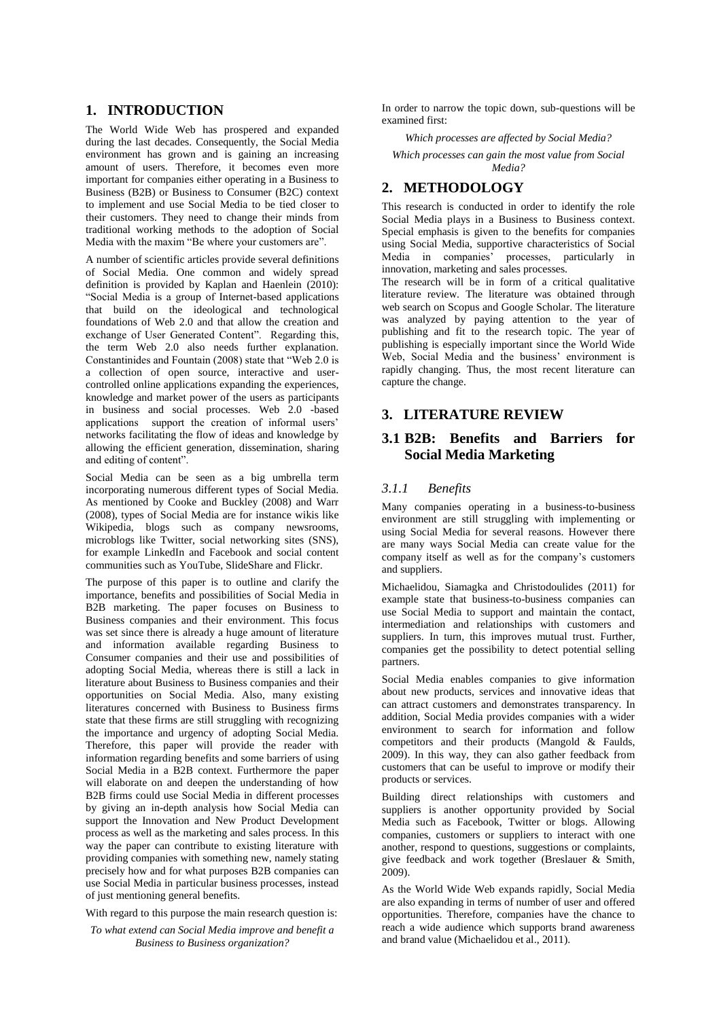# **1. INTRODUCTION**

The World Wide Web has prospered and expanded during the last decades. Consequently, the Social Media environment has grown and is gaining an increasing amount of users. Therefore, it becomes even more important for companies either operating in a Business to Business (B2B) or Business to Consumer (B2C) context to implement and use Social Media to be tied closer to their customers. They need to change their minds from traditional working methods to the adoption of Social Media with the maxim "Be where your customers are".

A number of scientific articles provide several definitions of Social Media. One common and widely spread definition is provided by Kaplan and Haenlein (2010): "Social Media is a group of Internet-based applications that build on the ideological and technological foundations of Web 2.0 and that allow the creation and exchange of User Generated Content". Regarding this, the term Web 2.0 also needs further explanation. Constantinides and Fountain (2008) state that "Web 2.0 is a collection of open source, interactive and usercontrolled online applications expanding the experiences, knowledge and market power of the users as participants in business and social processes. Web 2.0 -based applications support the creation of informal users' networks facilitating the flow of ideas and knowledge by allowing the efficient generation, dissemination, sharing and editing of content".

Social Media can be seen as a big umbrella term incorporating numerous different types of Social Media. As mentioned by Cooke and Buckley (2008) and Warr (2008), types of Social Media are for instance wikis like Wikipedia, blogs such as company newsrooms, microblogs like Twitter, social networking sites (SNS), for example LinkedIn and Facebook and social content communities such as YouTube, SlideShare and Flickr.

The purpose of this paper is to outline and clarify the importance, benefits and possibilities of Social Media in B2B marketing. The paper focuses on Business to Business companies and their environment. This focus was set since there is already a huge amount of literature and information available regarding Business to Consumer companies and their use and possibilities of adopting Social Media, whereas there is still a lack in literature about Business to Business companies and their opportunities on Social Media. Also, many existing literatures concerned with Business to Business firms state that these firms are still struggling with recognizing the importance and urgency of adopting Social Media. Therefore, this paper will provide the reader with information regarding benefits and some barriers of using Social Media in a B2B context. Furthermore the paper will elaborate on and deepen the understanding of how B2B firms could use Social Media in different processes by giving an in-depth analysis how Social Media can support the Innovation and New Product Development process as well as the marketing and sales process. In this way the paper can contribute to existing literature with providing companies with something new, namely stating precisely how and for what purposes B2B companies can use Social Media in particular business processes, instead of just mentioning general benefits.

With regard to this purpose the main research question is:

*To what extend can Social Media improve and benefit a Business to Business organization?*

In order to narrow the topic down, sub-questions will be examined first:

*Which processes are affected by Social Media?*

*Which processes can gain the most value from Social Media?*

# **2. METHODOLOGY**

This research is conducted in order to identify the role Social Media plays in a Business to Business context. Special emphasis is given to the benefits for companies using Social Media, supportive characteristics of Social Media in companies' processes, particularly in innovation, marketing and sales processes.

The research will be in form of a critical qualitative literature review. The literature was obtained through web search on Scopus and Google Scholar. The literature was analyzed by paying attention to the year of publishing and fit to the research topic. The year of publishing is especially important since the World Wide Web, Social Media and the business' environment is rapidly changing. Thus, the most recent literature can capture the change.

# **3. LITERATURE REVIEW**

# **3.1 B2B: Benefits and Barriers for Social Media Marketing**

# *3.1.1 Benefits*

Many companies operating in a business-to-business environment are still struggling with implementing or using Social Media for several reasons. However there are many ways Social Media can create value for the company itself as well as for the company's customers and suppliers.

Michaelidou, Siamagka and Christodoulides (2011) for example state that business-to-business companies can use Social Media to support and maintain the contact, intermediation and relationships with customers and suppliers. In turn, this improves mutual trust. Further, companies get the possibility to detect potential selling partners.

Social Media enables companies to give information about new products, services and innovative ideas that can attract customers and demonstrates transparency. In addition, Social Media provides companies with a wider environment to search for information and follow competitors and their products (Mangold & Faulds, 2009). In this way, they can also gather feedback from customers that can be useful to improve or modify their products or services.

Building direct relationships with customers and suppliers is another opportunity provided by Social Media such as Facebook, Twitter or blogs. Allowing companies, customers or suppliers to interact with one another, respond to questions, suggestions or complaints, give feedback and work together (Breslauer & Smith, 2009).

As the World Wide Web expands rapidly, Social Media are also expanding in terms of number of user and offered opportunities. Therefore, companies have the chance to reach a wide audience which supports brand awareness and brand value (Michaelidou et al., 2011).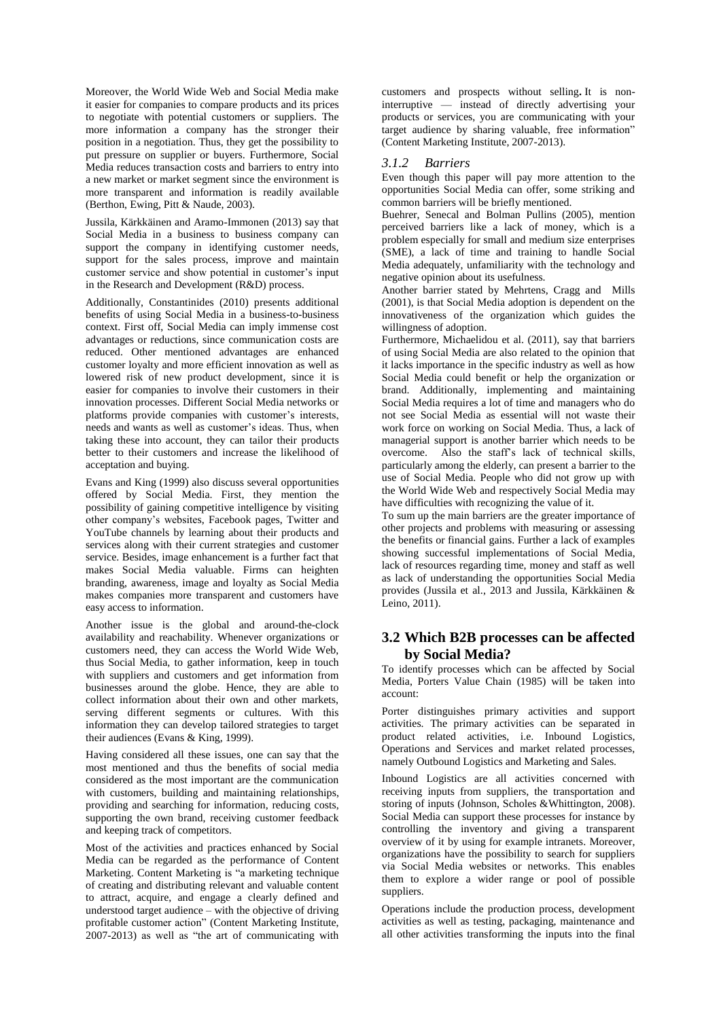Moreover, the World Wide Web and Social Media make it easier for companies to compare products and its prices to negotiate with potential customers or suppliers. The more information a company has the stronger their position in a negotiation. Thus, they get the possibility to put pressure on supplier or buyers. Furthermore, Social Media reduces transaction costs and barriers to entry into a new market or market segment since the environment is more transparent and information is readily available (Berthon, Ewing, Pitt & Naude, 2003).

Jussila, Kärkkäinen and Aramo-Immonen (2013) say that Social Media in a business to business company can support the company in identifying customer needs, support for the sales process, improve and maintain customer service and show potential in customer's input in the Research and Development (R&D) process.

Additionally, Constantinides (2010) presents additional benefits of using Social Media in a business-to-business context. First off, Social Media can imply immense cost advantages or reductions, since communication costs are reduced. Other mentioned advantages are enhanced customer loyalty and more efficient innovation as well as lowered risk of new product development, since it is easier for companies to involve their customers in their innovation processes. Different Social Media networks or platforms provide companies with customer's interests, needs and wants as well as customer's ideas. Thus, when taking these into account, they can tailor their products better to their customers and increase the likelihood of acceptation and buying.

Evans and King (1999) also discuss several opportunities offered by Social Media. First, they mention the possibility of gaining competitive intelligence by visiting other company's websites, Facebook pages, Twitter and YouTube channels by learning about their products and services along with their current strategies and customer service. Besides, image enhancement is a further fact that makes Social Media valuable. Firms can heighten branding, awareness, image and loyalty as Social Media makes companies more transparent and customers have easy access to information.

Another issue is the global and around-the-clock availability and reachability. Whenever organizations or customers need, they can access the World Wide Web, thus Social Media, to gather information, keep in touch with suppliers and customers and get information from businesses around the globe. Hence, they are able to collect information about their own and other markets, serving different segments or cultures. With this information they can develop tailored strategies to target their audiences (Evans & King, 1999).

Having considered all these issues, one can say that the most mentioned and thus the benefits of social media considered as the most important are the communication with customers, building and maintaining relationships, providing and searching for information, reducing costs, supporting the own brand, receiving customer feedback and keeping track of competitors.

Most of the activities and practices enhanced by Social Media can be regarded as the performance of Content Marketing. Content Marketing is "a marketing technique of creating and distributing relevant and valuable content to attract, acquire, and engage a clearly defined and understood target audience – with the objective of driving profitable customer action" (Content Marketing Institute, 2007-2013) as well as "the art of communicating with customers and prospects without selling**.** It is noninterruptive — instead of directly advertising your products or services, you are communicating with your target audience by sharing valuable, free information" (Content Marketing Institute, 2007-2013).

### *3.1.2 Barriers*

Even though this paper will pay more attention to the opportunities Social Media can offer, some striking and common barriers will be briefly mentioned.

Buehrer, Senecal and Bolman Pullins (2005), mention perceived barriers like a lack of money, which is a problem especially for small and medium size enterprises (SME), a lack of time and training to handle Social Media adequately, unfamiliarity with the technology and negative opinion about its usefulness.

Another barrier stated by Mehrtens, Cragg and Mills (2001), is that Social Media adoption is dependent on the innovativeness of the organization which guides the willingness of adoption.

Furthermore, Michaelidou et al. (2011), say that barriers of using Social Media are also related to the opinion that it lacks importance in the specific industry as well as how Social Media could benefit or help the organization or brand. Additionally, implementing and maintaining Social Media requires a lot of time and managers who do not see Social Media as essential will not waste their work force on working on Social Media. Thus, a lack of managerial support is another barrier which needs to be overcome. Also the staff's lack of technical skills, particularly among the elderly, can present a barrier to the use of Social Media. People who did not grow up with the World Wide Web and respectively Social Media may have difficulties with recognizing the value of it.

To sum up the main barriers are the greater importance of other projects and problems with measuring or assessing the benefits or financial gains. Further a lack of examples showing successful implementations of Social Media, lack of resources regarding time, money and staff as well as lack of understanding the opportunities Social Media provides (Jussila et al., 2013 and Jussila, Kärkkäinen & Leino, 2011).

# **3.2 Which B2B processes can be affected by Social Media?**

To identify processes which can be affected by Social Media, Porters Value Chain (1985) will be taken into account:

Porter distinguishes primary activities and support activities. The primary activities can be separated in product related activities, i.e. Inbound Logistics, Operations and Services and market related processes, namely Outbound Logistics and Marketing and Sales.

Inbound Logistics are all activities concerned with receiving inputs from suppliers, the transportation and storing of inputs (Johnson, Scholes &Whittington, 2008). Social Media can support these processes for instance by controlling the inventory and giving a transparent overview of it by using for example intranets. Moreover, organizations have the possibility to search for suppliers via Social Media websites or networks. This enables them to explore a wider range or pool of possible suppliers.

Operations include the production process, development activities as well as testing, packaging, maintenance and all other activities transforming the inputs into the final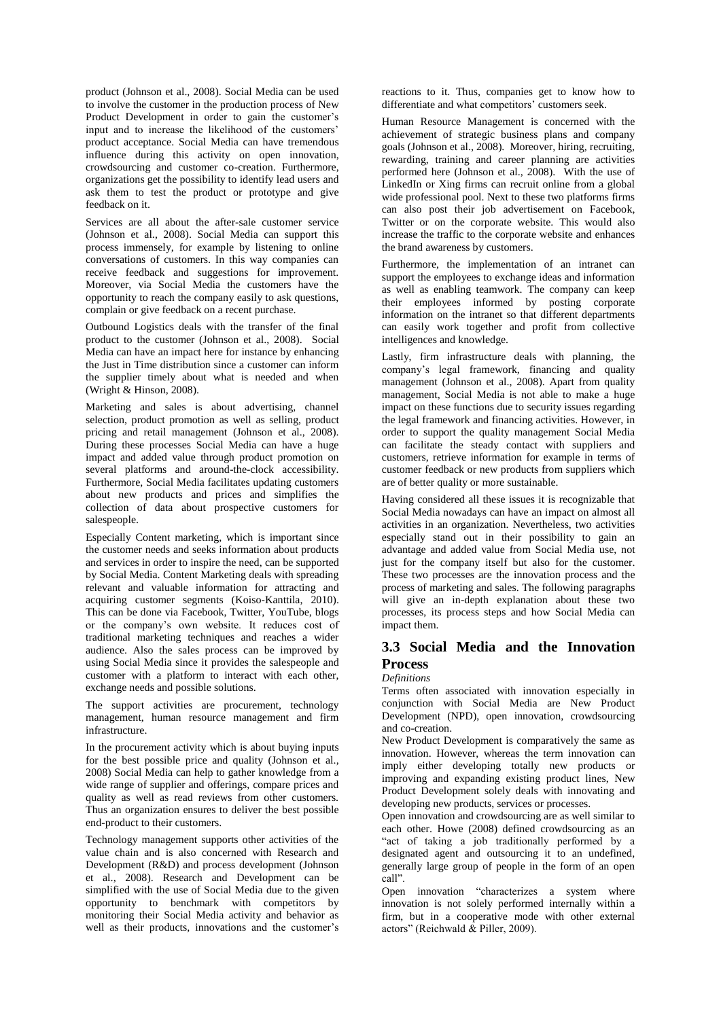product (Johnson et al., 2008). Social Media can be used to involve the customer in the production process of New Product Development in order to gain the customer's input and to increase the likelihood of the customers' product acceptance. Social Media can have tremendous influence during this activity on open innovation, crowdsourcing and customer co-creation. Furthermore, organizations get the possibility to identify lead users and ask them to test the product or prototype and give feedback on it.

Services are all about the after-sale customer service (Johnson et al., 2008). Social Media can support this process immensely, for example by listening to online conversations of customers. In this way companies can receive feedback and suggestions for improvement. Moreover, via Social Media the customers have the opportunity to reach the company easily to ask questions, complain or give feedback on a recent purchase.

Outbound Logistics deals with the transfer of the final product to the customer (Johnson et al., 2008). Social Media can have an impact here for instance by enhancing the Just in Time distribution since a customer can inform the supplier timely about what is needed and when (Wright & Hinson, 2008).

Marketing and sales is about advertising, channel selection, product promotion as well as selling, product pricing and retail management (Johnson et al., 2008). During these processes Social Media can have a huge impact and added value through product promotion on several platforms and around-the-clock accessibility. Furthermore, Social Media facilitates updating customers about new products and prices and simplifies the collection of data about prospective customers for salespeople.

Especially Content marketing, which is important since the customer needs and seeks information about products and services in order to inspire the need, can be supported by Social Media. Content Marketing deals with spreading relevant and valuable information for attracting and acquiring customer segments (Koiso-Kanttila, 2010). This can be done via Facebook, Twitter, YouTube, blogs or the company's own website. It reduces cost of traditional marketing techniques and reaches a wider audience. Also the sales process can be improved by using Social Media since it provides the salespeople and customer with a platform to interact with each other, exchange needs and possible solutions.

The support activities are procurement, technology management, human resource management and firm infrastructure.

In the procurement activity which is about buying inputs for the best possible price and quality (Johnson et al., 2008) Social Media can help to gather knowledge from a wide range of supplier and offerings, compare prices and quality as well as read reviews from other customers. Thus an organization ensures to deliver the best possible end-product to their customers.

Technology management supports other activities of the value chain and is also concerned with Research and Development (R&D) and process development (Johnson et al., 2008). Research and Development can be simplified with the use of Social Media due to the given opportunity to benchmark with competitors by monitoring their Social Media activity and behavior as well as their products, innovations and the customer's reactions to it. Thus, companies get to know how to differentiate and what competitors' customers seek.

Human Resource Management is concerned with the achievement of strategic business plans and company goals (Johnson et al., 2008). Moreover, hiring, recruiting, rewarding, training and career planning are activities performed here (Johnson et al., 2008). With the use of LinkedIn or Xing firms can recruit online from a global wide professional pool. Next to these two platforms firms can also post their job advertisement on Facebook, Twitter or on the corporate website. This would also increase the traffic to the corporate website and enhances the brand awareness by customers.

Furthermore, the implementation of an intranet can support the employees to exchange ideas and information as well as enabling teamwork. The company can keep their employees informed by posting corporate information on the intranet so that different departments can easily work together and profit from collective intelligences and knowledge.

Lastly, firm infrastructure deals with planning, the company's legal framework, financing and quality management (Johnson et al., 2008). Apart from quality management, Social Media is not able to make a huge impact on these functions due to security issues regarding the legal framework and financing activities. However, in order to support the quality management Social Media can facilitate the steady contact with suppliers and customers, retrieve information for example in terms of customer feedback or new products from suppliers which are of better quality or more sustainable.

Having considered all these issues it is recognizable that Social Media nowadays can have an impact on almost all activities in an organization. Nevertheless, two activities especially stand out in their possibility to gain an advantage and added value from Social Media use, not just for the company itself but also for the customer. These two processes are the innovation process and the process of marketing and sales. The following paragraphs will give an in-depth explanation about these two processes, its process steps and how Social Media can impact them.

# **3.3 Social Media and the Innovation Process**

#### *Definitions*

Terms often associated with innovation especially in conjunction with Social Media are New Product Development (NPD), open innovation, crowdsourcing and co-creation.

New Product Development is comparatively the same as innovation. However, whereas the term innovation can imply either developing totally new products or improving and expanding existing product lines, New Product Development solely deals with innovating and developing new products, services or processes.

Open innovation and crowdsourcing are as well similar to each other. Howe (2008) defined crowdsourcing as an "act of taking a job traditionally performed by a designated agent and outsourcing it to an undefined, generally large group of people in the form of an open call".

Open innovation "characterizes a system where innovation is not solely performed internally within a firm, but in a cooperative mode with other external actors" (Reichwald & Piller, 2009).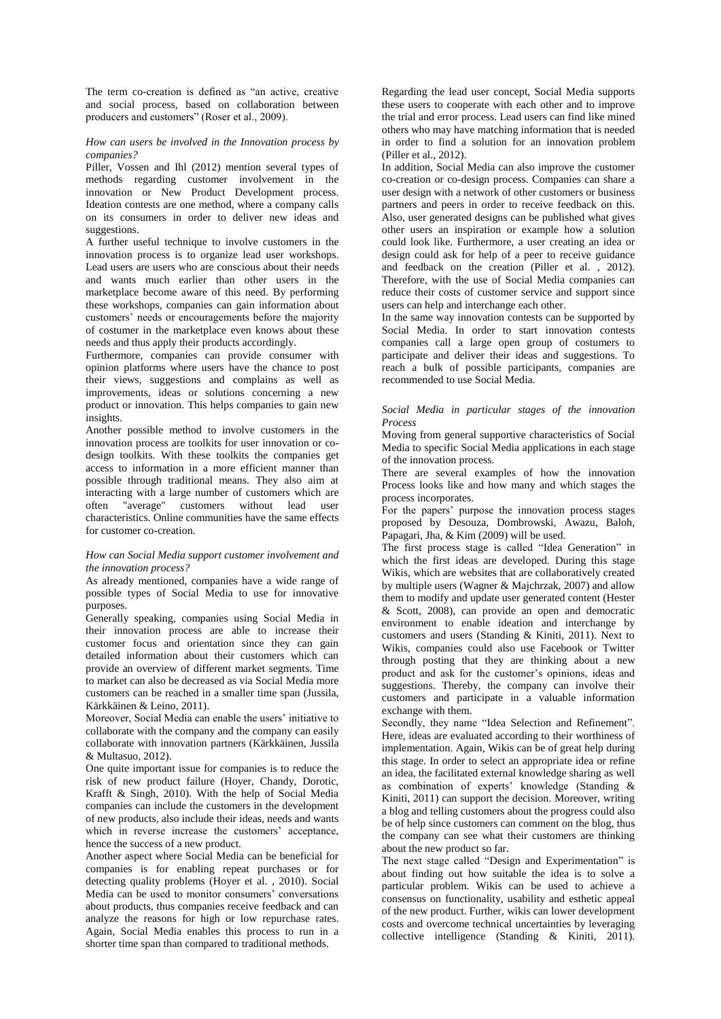The term co-creation is defined as "an active, creative and social process, based on collaboration between producers and customers" (Roser et al., 2009).

#### *How can users be involved in the Innovation process by companies?*

Piller, Vossen and Ihl (2012) mention several types of methods regarding customer involvement in the innovation or New Product Development process. Ideation contests are one method, where a company calls on its consumers in order to deliver new ideas and suggestions.

A further useful technique to involve customers in the innovation process is to organize lead user workshops. Lead users are users who are conscious about their needs and wants much earlier than other users in the marketplace become aware of this need. By performing these workshops, companies can gain information about customers' needs or encouragements before the majority of costumer in the marketplace even knows about these needs and thus apply their products accordingly.

Furthermore, companies can provide consumer with opinion platforms where users have the chance to post their views, suggestions and complains as well as improvements, ideas or solutions concerning a new product or innovation. This helps companies to gain new insights.

Another possible method to involve customers in the innovation process are toolkits for user innovation or codesign toolkits. With these toolkits the companies get access to information in a more efficient manner than possible through traditional means. They also aim at interacting with a large number of customers which are often "average" customers without lead user characteristics. Online communities have the same effects for customer co-creation.

#### *How can Social Media support customer involvement and the innovation process?*

As already mentioned, companies have a wide range of possible types of Social Media to use for innovative purposes.

Generally speaking, companies using Social Media in their innovation process are able to increase their customer focus and orientation since they can gain detailed information about their customers which can provide an overview of different market segments. Time to market can also be decreased as via Social Media more customers can be reached in a smaller time span (Jussila, Kärkkäinen & Leino, 2011).

Moreover, Social Media can enable the users' initiative to collaborate with the company and the company can easily collaborate with innovation partners (Kärkkäinen, Jussila & Multasuo, 2012).

One quite important issue for companies is to reduce the risk of new product failure (Hoyer, Chandy, Dorotic, Krafft & Singh, 2010). With the help of Social Media companies can include the customers in the development of new products, also include their ideas, needs and wants which in reverse increase the customers' acceptance, hence the success of a new product.

Another aspect where Social Media can be beneficial for companies is for enabling repeat purchases or for detecting quality problems (Hoyer et al. , 2010). Social Media can be used to monitor consumers' conversations about products, thus companies receive feedback and can analyze the reasons for high or low repurchase rates. Again, Social Media enables this process to run in a shorter time span than compared to traditional methods.

Regarding the lead user concept, Social Media supports these users to cooperate with each other and to improve the trial and error process. Lead users can find like mined others who may have matching information that is needed in order to find a solution for an innovation problem (Piller et al., 2012).

In addition, Social Media can also improve the customer co-creation or co-design process. Companies can share a user design with a network of other customers or business partners and peers in order to receive feedback on this. Also, user generated designs can be published what gives other users an inspiration or example how a solution could look like. Furthermore, a user creating an idea or design could ask for help of a peer to receive guidance and feedback on the creation (Piller et al. , 2012). Therefore, with the use of Social Media companies can reduce their costs of customer service and support since users can help and interchange each other.

In the same way innovation contests can be supported by Social Media. In order to start innovation contests companies call a large open group of costumers to participate and deliver their ideas and suggestions. To reach a bulk of possible participants, companies are recommended to use Social Media.

#### *Social Media in particular stages of the innovation Process*

Moving from general supportive characteristics of Social Media to specific Social Media applications in each stage of the innovation process.

There are several examples of how the innovation Process looks like and how many and which stages the process incorporates.

For the papers' purpose the innovation process stages proposed by Desouza, Dombrowski, Awazu, Baloh, Papagari, Jha, & Kim (2009) will be used.

The first process stage is called "Idea Generation" in which the first ideas are developed. During this stage Wikis, which are websites that are collaboratively created by multiple users (Wagner & Majchrzak, 2007) and allow them to modify and update user generated content (Hester & Scott, 2008), can provide an open and democratic environment to enable ideation and interchange by customers and users (Standing & Kiniti, 2011). Next to Wikis, companies could also use Facebook or Twitter through posting that they are thinking about a new product and ask for the customer's opinions, ideas and suggestions. Thereby, the company can involve their customers and participate in a valuable information exchange with them.

Secondly, they name "Idea Selection and Refinement". Here, ideas are evaluated according to their worthiness of implementation. Again, Wikis can be of great help during this stage. In order to select an appropriate idea or refine an idea, the facilitated external knowledge sharing as well as combination of experts' knowledge (Standing & Kiniti, 2011) can support the decision. Moreover, writing a blog and telling customers about the progress could also be of help since customers can comment on the blog, thus the company can see what their customers are thinking about the new product so far.

The next stage called "Design and Experimentation" is about finding out how suitable the idea is to solve a particular problem. Wikis can be used to achieve a consensus on functionality, usability and esthetic appeal of the new product. Further, wikis can lower development costs and overcome technical uncertainties by leveraging collective intelligence (Standing & Kiniti, 2011).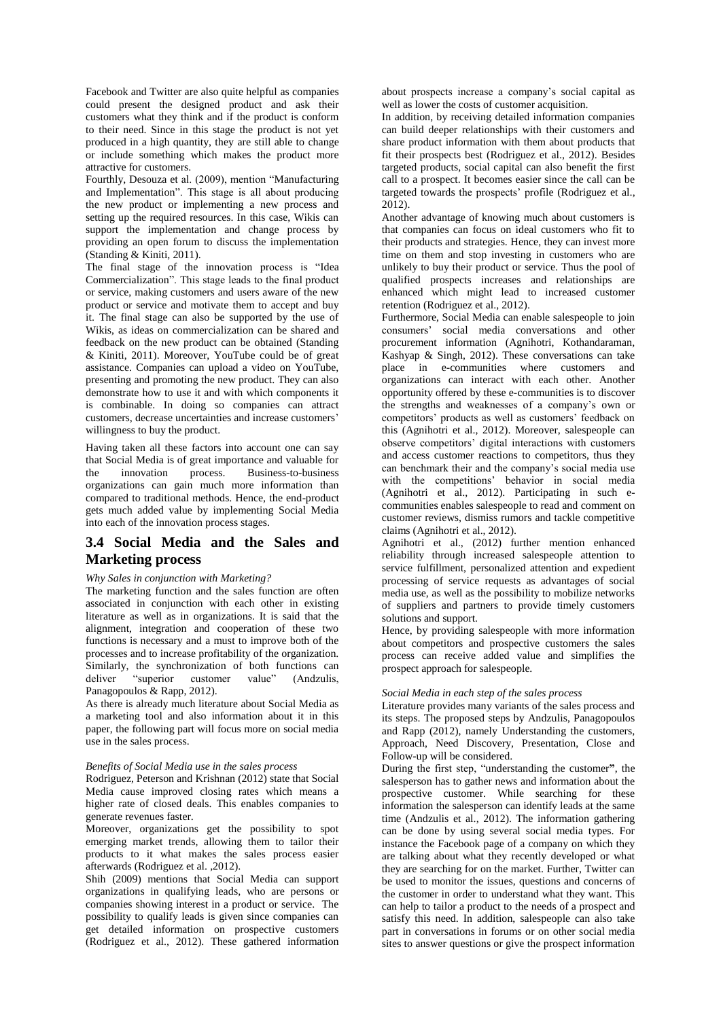Facebook and Twitter are also quite helpful as companies could present the designed product and ask their customers what they think and if the product is conform to their need. Since in this stage the product is not yet produced in a high quantity, they are still able to change or include something which makes the product more attractive for customers.

Fourthly, Desouza et al. (2009), mention "Manufacturing and Implementation". This stage is all about producing the new product or implementing a new process and setting up the required resources. In this case, Wikis can support the implementation and change process by providing an open forum to discuss the implementation (Standing & Kiniti, 2011).

The final stage of the innovation process is "Idea Commercialization". This stage leads to the final product or service, making customers and users aware of the new product or service and motivate them to accept and buy it. The final stage can also be supported by the use of Wikis, as ideas on commercialization can be shared and feedback on the new product can be obtained (Standing & Kiniti, 2011). Moreover, YouTube could be of great assistance. Companies can upload a video on YouTube, presenting and promoting the new product. They can also demonstrate how to use it and with which components it is combinable. In doing so companies can attract customers, decrease uncertainties and increase customers' willingness to buy the product.

Having taken all these factors into account one can say that Social Media is of great importance and valuable for the innovation process. Business-to-business organizations can gain much more information than compared to traditional methods. Hence, the end-product gets much added value by implementing Social Media into each of the innovation process stages.

# **3.4 Social Media and the Sales and Marketing process**

#### *Why Sales in conjunction with Marketing?*

The marketing function and the sales function are often associated in conjunction with each other in existing literature as well as in organizations. It is said that the alignment, integration and cooperation of these two functions is necessary and a must to improve both of the processes and to increase profitability of the organization. Similarly, the synchronization of both functions can deliver "superior customer value" (Andzulis, Panagopoulos & Rapp, 2012).

As there is already much literature about Social Media as a marketing tool and also information about it in this paper, the following part will focus more on social media use in the sales process.

#### *Benefits of Social Media use in the sales process*

Rodriguez, Peterson and Krishnan (2012) state that Social Media cause improved closing rates which means a higher rate of closed deals. This enables companies to generate revenues faster.

Moreover, organizations get the possibility to spot emerging market trends, allowing them to tailor their products to it what makes the sales process easier afterwards (Rodriguez et al. ,2012).

Shih (2009) mentions that Social Media can support organizations in qualifying leads, who are persons or companies showing interest in a product or service. The possibility to qualify leads is given since companies can get detailed information on prospective customers (Rodriguez et al., 2012). These gathered information

about prospects increase a company's social capital as well as lower the costs of customer acquisition.

In addition, by receiving detailed information companies can build deeper relationships with their customers and share product information with them about products that fit their prospects best (Rodriguez et al., 2012). Besides targeted products, social capital can also benefit the first call to a prospect. It becomes easier since the call can be targeted towards the prospects' profile (Rodriguez et al., 2012).

Another advantage of knowing much about customers is that companies can focus on ideal customers who fit to their products and strategies. Hence, they can invest more time on them and stop investing in customers who are unlikely to buy their product or service. Thus the pool of qualified prospects increases and relationships are enhanced which might lead to increased customer retention (Rodriguez et al., 2012).

Furthermore, Social Media can enable salespeople to join consumers' social media conversations and other procurement information (Agnihotri, Kothandaraman, Kashyap & Singh, 2012). These conversations can take place in e-communities where customers and organizations can interact with each other. Another opportunity offered by these e-communities is to discover the strengths and weaknesses of a company's own or competitors' products as well as customers' feedback on this (Agnihotri et al., 2012). Moreover, salespeople can observe competitors' digital interactions with customers and access customer reactions to competitors, thus they can benchmark their and the company's social media use with the competitions' behavior in social media (Agnihotri et al., 2012). Participating in such ecommunities enables salespeople to read and comment on customer reviews, dismiss rumors and tackle competitive claims (Agnihotri et al., 2012).

Agnihotri et al., (2012) further mention enhanced reliability through increased salespeople attention to service fulfillment, personalized attention and expedient processing of service requests as advantages of social media use, as well as the possibility to mobilize networks of suppliers and partners to provide timely customers solutions and support.

Hence, by providing salespeople with more information about competitors and prospective customers the sales process can receive added value and simplifies the prospect approach for salespeople.

#### *Social Media in each step of the sales process*

Literature provides many variants of the sales process and its steps. The proposed steps by Andzulis, Panagopoulos and Rapp (2012), namely Understanding the customers, Approach, Need Discovery, Presentation, Close and Follow-up will be considered.

During the first step, "understanding the customer**"**, the salesperson has to gather news and information about the prospective customer. While searching for these information the salesperson can identify leads at the same time (Andzulis et al., 2012). The information gathering can be done by using several social media types. For instance the Facebook page of a company on which they are talking about what they recently developed or what they are searching for on the market. Further, Twitter can be used to monitor the issues, questions and concerns of the customer in order to understand what they want. This can help to tailor a product to the needs of a prospect and satisfy this need. In addition, salespeople can also take part in conversations in forums or on other social media sites to answer questions or give the prospect information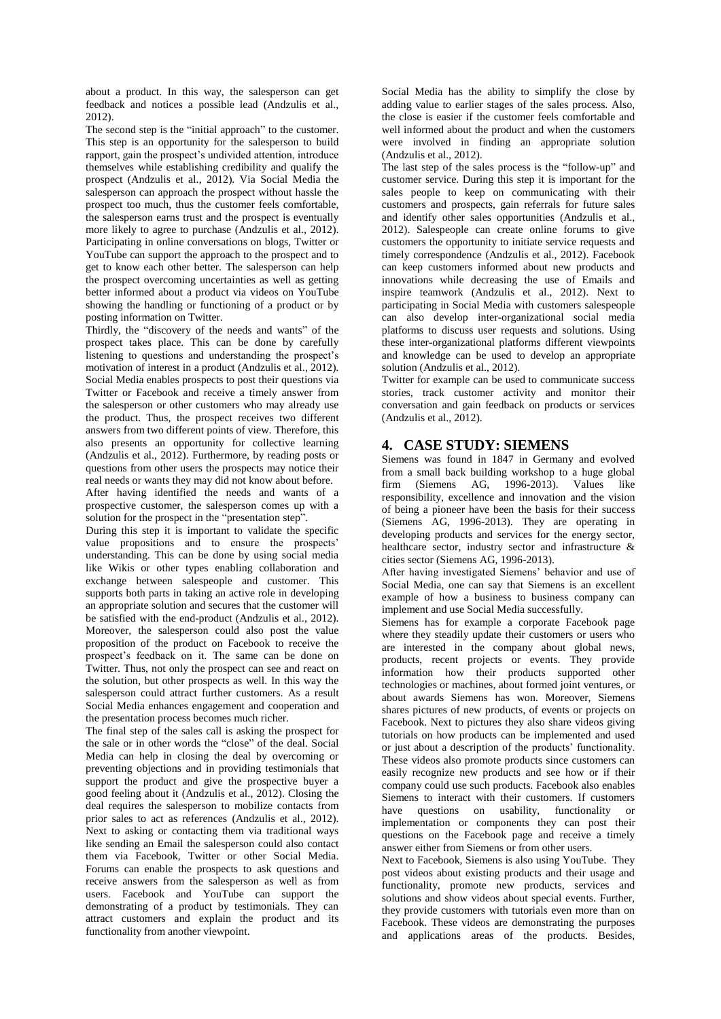about a product. In this way, the salesperson can get feedback and notices a possible lead (Andzulis et al., 2012).

The second step is the "initial approach" to the customer. This step is an opportunity for the salesperson to build rapport, gain the prospect's undivided attention, introduce themselves while establishing credibility and qualify the prospect (Andzulis et al., 2012). Via Social Media the salesperson can approach the prospect without hassle the prospect too much, thus the customer feels comfortable, the salesperson earns trust and the prospect is eventually more likely to agree to purchase (Andzulis et al., 2012). Participating in online conversations on blogs, Twitter or YouTube can support the approach to the prospect and to get to know each other better. The salesperson can help the prospect overcoming uncertainties as well as getting better informed about a product via videos on YouTube showing the handling or functioning of a product or by posting information on Twitter.

Thirdly, the "discovery of the needs and wants" of the prospect takes place. This can be done by carefully listening to questions and understanding the prospect's motivation of interest in a product (Andzulis et al., 2012). Social Media enables prospects to post their questions via Twitter or Facebook and receive a timely answer from the salesperson or other customers who may already use the product. Thus, the prospect receives two different answers from two different points of view. Therefore, this also presents an opportunity for collective learning (Andzulis et al., 2012). Furthermore, by reading posts or questions from other users the prospects may notice their real needs or wants they may did not know about before.

After having identified the needs and wants of a prospective customer, the salesperson comes up with a solution for the prospect in the "presentation step".

During this step it is important to validate the specific value propositions and to ensure the prospects' understanding. This can be done by using social media like Wikis or other types enabling collaboration and exchange between salespeople and customer. This supports both parts in taking an active role in developing an appropriate solution and secures that the customer will be satisfied with the end-product (Andzulis et al., 2012). Moreover, the salesperson could also post the value proposition of the product on Facebook to receive the prospect's feedback on it. The same can be done on Twitter. Thus, not only the prospect can see and react on the solution, but other prospects as well. In this way the salesperson could attract further customers. As a result Social Media enhances engagement and cooperation and the presentation process becomes much richer.

The final step of the sales call is asking the prospect for the sale or in other words the "close" of the deal. Social Media can help in closing the deal by overcoming or preventing objections and in providing testimonials that support the product and give the prospective buyer a good feeling about it (Andzulis et al., 2012). Closing the deal requires the salesperson to mobilize contacts from prior sales to act as references (Andzulis et al., 2012). Next to asking or contacting them via traditional ways like sending an Email the salesperson could also contact them via Facebook, Twitter or other Social Media. Forums can enable the prospects to ask questions and receive answers from the salesperson as well as from users. Facebook and YouTube can support the demonstrating of a product by testimonials. They can attract customers and explain the product and its functionality from another viewpoint.

Social Media has the ability to simplify the close by adding value to earlier stages of the sales process. Also, the close is easier if the customer feels comfortable and well informed about the product and when the customers were involved in finding an appropriate solution (Andzulis et al., 2012).

The last step of the sales process is the "follow-up" and customer service. During this step it is important for the sales people to keep on communicating with their customers and prospects, gain referrals for future sales and identify other sales opportunities (Andzulis et al., 2012). Salespeople can create online forums to give customers the opportunity to initiate service requests and timely correspondence (Andzulis et al., 2012). Facebook can keep customers informed about new products and innovations while decreasing the use of Emails and inspire teamwork (Andzulis et al., 2012). Next to participating in Social Media with customers salespeople can also develop inter-organizational social media platforms to discuss user requests and solutions. Using these inter-organizational platforms different viewpoints and knowledge can be used to develop an appropriate solution (Andzulis et al., 2012).

Twitter for example can be used to communicate success stories, track customer activity and monitor their conversation and gain feedback on products or services (Andzulis et al., 2012).

# **4. CASE STUDY: SIEMENS**

Siemens was found in 1847 in Germany and evolved from a small back building workshop to a huge global firm (Siemens AG, 1996-2013). Values like responsibility, excellence and innovation and the vision of being a pioneer have been the basis for their success (Siemens AG, 1996-2013). They are operating in developing products and services for the energy sector, healthcare sector, industry sector and infrastructure & cities sector (Siemens AG, 1996-2013).

After having investigated Siemens' behavior and use of Social Media, one can say that Siemens is an excellent example of how a business to business company can implement and use Social Media successfully.

Siemens has for example a corporate Facebook page where they steadily update their customers or users who are interested in the company about global news, products, recent projects or events. They provide information how their products supported other technologies or machines, about formed joint ventures, or about awards Siemens has won. Moreover, Siemens shares pictures of new products, of events or projects on Facebook. Next to pictures they also share videos giving tutorials on how products can be implemented and used or just about a description of the products' functionality. These videos also promote products since customers can easily recognize new products and see how or if their company could use such products. Facebook also enables Siemens to interact with their customers. If customers have questions on usability, functionality or implementation or components they can post their questions on the Facebook page and receive a timely answer either from Siemens or from other users.

Next to Facebook, Siemens is also using YouTube. They post videos about existing products and their usage and functionality, promote new products, services and solutions and show videos about special events. Further, they provide customers with tutorials even more than on Facebook. These videos are demonstrating the purposes and applications areas of the products. Besides,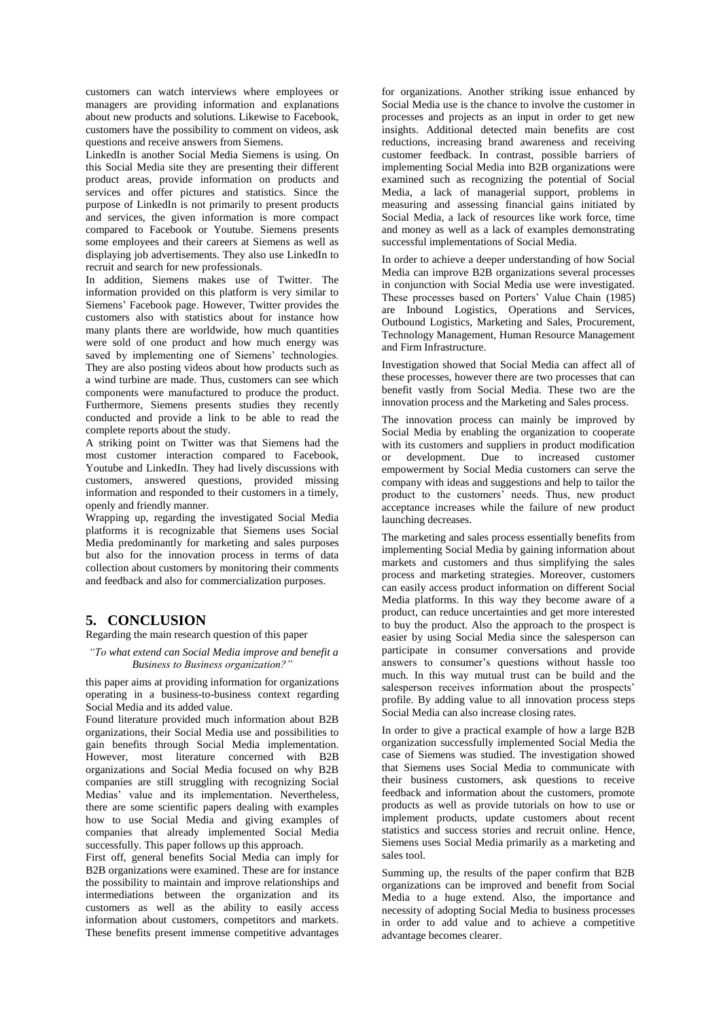customers can watch interviews where employees or managers are providing information and explanations about new products and solutions. Likewise to Facebook, customers have the possibility to comment on videos, ask questions and receive answers from Siemens.

LinkedIn is another Social Media Siemens is using. On this Social Media site they are presenting their different product areas, provide information on products and services and offer pictures and statistics. Since the purpose of LinkedIn is not primarily to present products and services, the given information is more compact compared to Facebook or Youtube. Siemens presents some employees and their careers at Siemens as well as displaying job advertisements. They also use LinkedIn to recruit and search for new professionals.

In addition, Siemens makes use of Twitter. The information provided on this platform is very similar to Siemens' Facebook page. However, Twitter provides the customers also with statistics about for instance how many plants there are worldwide, how much quantities were sold of one product and how much energy was saved by implementing one of Siemens' technologies. They are also posting videos about how products such as a wind turbine are made. Thus, customers can see which components were manufactured to produce the product. Furthermore, Siemens presents studies they recently conducted and provide a link to be able to read the complete reports about the study.

A striking point on Twitter was that Siemens had the most customer interaction compared to Facebook, Youtube and LinkedIn. They had lively discussions with customers, answered questions, provided missing information and responded to their customers in a timely, openly and friendly manner.

Wrapping up, regarding the investigated Social Media platforms it is recognizable that Siemens uses Social Media predominantly for marketing and sales purposes but also for the innovation process in terms of data collection about customers by monitoring their comments and feedback and also for commercialization purposes.

### **5. CONCLUSION**

Regarding the main research question of this paper

#### *"To what extend can Social Media improve and benefit a Business to Business organization?"*

this paper aims at providing information for organizations operating in a business-to-business context regarding Social Media and its added value.

Found literature provided much information about B2B organizations, their Social Media use and possibilities to gain benefits through Social Media implementation. However, most literature concerned with B2B organizations and Social Media focused on why B2B companies are still struggling with recognizing Social Medias' value and its implementation. Nevertheless, there are some scientific papers dealing with examples how to use Social Media and giving examples of companies that already implemented Social Media successfully. This paper follows up this approach.

First off, general benefits Social Media can imply for B2B organizations were examined. These are for instance the possibility to maintain and improve relationships and intermediations between the organization and its customers as well as the ability to easily access information about customers, competitors and markets. These benefits present immense competitive advantages

for organizations. Another striking issue enhanced by Social Media use is the chance to involve the customer in processes and projects as an input in order to get new insights. Additional detected main benefits are cost reductions, increasing brand awareness and receiving customer feedback. In contrast, possible barriers of implementing Social Media into B2B organizations were examined such as recognizing the potential of Social Media, a lack of managerial support, problems in measuring and assessing financial gains initiated by Social Media, a lack of resources like work force, time and money as well as a lack of examples demonstrating successful implementations of Social Media.

In order to achieve a deeper understanding of how Social Media can improve B2B organizations several processes in conjunction with Social Media use were investigated. These processes based on Porters' Value Chain (1985) are Inbound Logistics, Operations and Services, Outbound Logistics, Marketing and Sales, Procurement, Technology Management, Human Resource Management and Firm Infrastructure.

Investigation showed that Social Media can affect all of these processes, however there are two processes that can benefit vastly from Social Media. These two are the innovation process and the Marketing and Sales process.

The innovation process can mainly be improved by Social Media by enabling the organization to cooperate with its customers and suppliers in product modification or development. Due to increased customer empowerment by Social Media customers can serve the company with ideas and suggestions and help to tailor the product to the customers' needs. Thus, new product acceptance increases while the failure of new product launching decreases.

The marketing and sales process essentially benefits from implementing Social Media by gaining information about markets and customers and thus simplifying the sales process and marketing strategies. Moreover, customers can easily access product information on different Social Media platforms. In this way they become aware of a product, can reduce uncertainties and get more interested to buy the product. Also the approach to the prospect is easier by using Social Media since the salesperson can participate in consumer conversations and provide answers to consumer's questions without hassle too much. In this way mutual trust can be build and the salesperson receives information about the prospects' profile. By adding value to all innovation process steps Social Media can also increase closing rates.

In order to give a practical example of how a large B2B organization successfully implemented Social Media the case of Siemens was studied. The investigation showed that Siemens uses Social Media to communicate with their business customers, ask questions to receive feedback and information about the customers, promote products as well as provide tutorials on how to use or implement products, update customers about recent statistics and success stories and recruit online. Hence, Siemens uses Social Media primarily as a marketing and sales tool.

Summing up, the results of the paper confirm that B2B organizations can be improved and benefit from Social Media to a huge extend. Also, the importance and necessity of adopting Social Media to business processes in order to add value and to achieve a competitive advantage becomes clearer.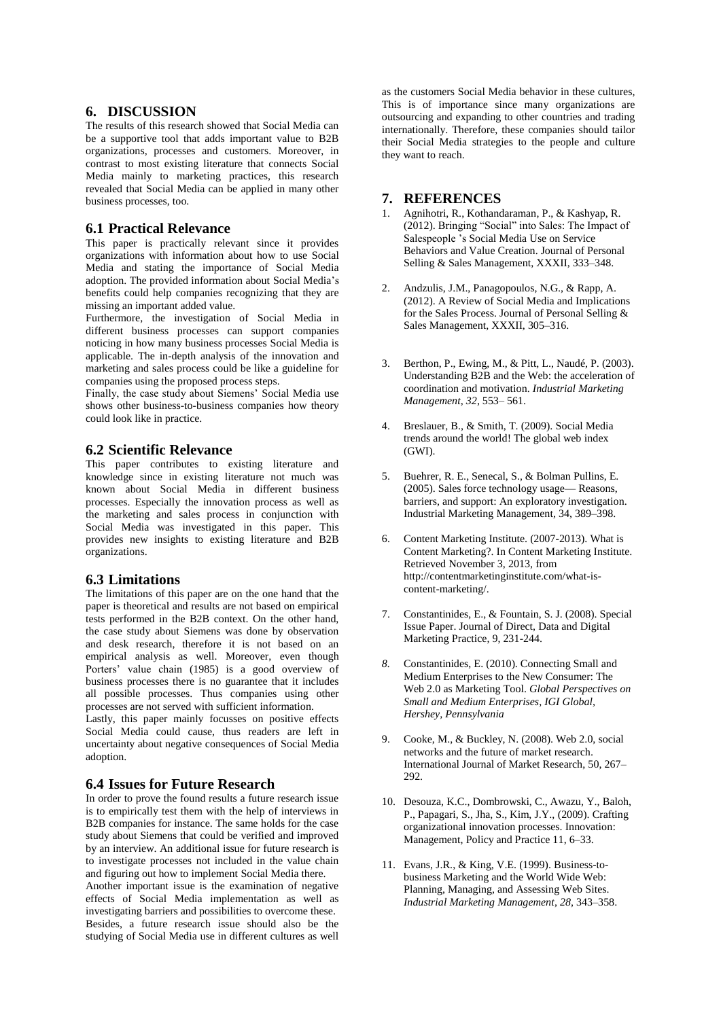### **6. DISCUSSION**

The results of this research showed that Social Media can be a supportive tool that adds important value to B2B organizations, processes and customers. Moreover, in contrast to most existing literature that connects Social Media mainly to marketing practices, this research revealed that Social Media can be applied in many other business processes, too.

# **6.1 Practical Relevance**

This paper is practically relevant since it provides organizations with information about how to use Social Media and stating the importance of Social Media adoption. The provided information about Social Media's benefits could help companies recognizing that they are missing an important added value.

Furthermore, the investigation of Social Media in different business processes can support companies noticing in how many business processes Social Media is applicable. The in-depth analysis of the innovation and marketing and sales process could be like a guideline for companies using the proposed process steps.

Finally, the case study about Siemens' Social Media use shows other business-to-business companies how theory could look like in practice.

### **6.2 Scientific Relevance**

This paper contributes to existing literature and knowledge since in existing literature not much was known about Social Media in different business processes. Especially the innovation process as well as the marketing and sales process in conjunction with Social Media was investigated in this paper. This provides new insights to existing literature and B2B organizations.

#### **6.3 Limitations**

The limitations of this paper are on the one hand that the paper is theoretical and results are not based on empirical tests performed in the B2B context. On the other hand, the case study about Siemens was done by observation and desk research, therefore it is not based on an empirical analysis as well. Moreover, even though Porters' value chain (1985) is a good overview of business processes there is no guarantee that it includes all possible processes. Thus companies using other processes are not served with sufficient information.

Lastly, this paper mainly focusses on positive effects Social Media could cause, thus readers are left in uncertainty about negative consequences of Social Media adoption.

#### **6.4 Issues for Future Research**

In order to prove the found results a future research issue is to empirically test them with the help of interviews in B2B companies for instance. The same holds for the case study about Siemens that could be verified and improved by an interview. An additional issue for future research is to investigate processes not included in the value chain and figuring out how to implement Social Media there.

Another important issue is the examination of negative effects of Social Media implementation as well as investigating barriers and possibilities to overcome these. Besides, a future research issue should also be the studying of Social Media use in different cultures as well

as the customers Social Media behavior in these cultures, This is of importance since many organizations are outsourcing and expanding to other countries and trading internationally. Therefore, these companies should tailor their Social Media strategies to the people and culture they want to reach.

### **7. REFERENCES**

- 1. Agnihotri, R., Kothandaraman, P., & Kashyap, R. (2012). Bringing "Social" into Sales: The Impact of Salespeople 's Social Media Use on Service Behaviors and Value Creation. Journal of Personal Selling & Sales Management, XXXII, 333–348.
- 2. Andzulis, J.M., Panagopoulos, N.G., & Rapp, A. (2012). A Review of Social Media and Implications for the Sales Process. Journal of Personal Selling & Sales Management, XXXII, 305–316.
- 3. Berthon, P., Ewing, M., & Pitt, L., Naudé, P. (2003). Understanding B2B and the Web: the acceleration of coordination and motivation. *Industrial Marketing Management*, *32*, 553– 561.
- 4. Breslauer, B., & Smith, T. (2009). Social Media trends around the world! The global web index (GWI).
- 5. Buehrer, R. E., Senecal, S., & Bolman Pullins, E. (2005). Sales force technology usage— Reasons, barriers, and support: An exploratory investigation. Industrial Marketing Management, 34, 389–398.
- 6. Content Marketing Institute. (2007-2013). What is Content Marketing?. In Content Marketing Institute. Retrieved November 3, 2013, from http://contentmarketinginstitute.com/what-iscontent-marketing/.
- 7. Constantinides, E., & Fountain, S. J. (2008). Special Issue Paper. Journal of Direct, Data and Digital Marketing Practice, 9, 231-244.
- *8.* Constantinides, E. (2010). Connecting Small and Medium Enterprises to the New Consumer: The Web 2.0 as Marketing Tool. *Global Perspectives on Small and Medium Enterprises, IGI Global, Hershey, Pennsylvania*
- 9. Cooke, M., & Buckley, N. (2008). Web 2.0, social networks and the future of market research. International Journal of Market Research, 50, 267– 292.
- 10. Desouza, K.C., Dombrowski, C., Awazu, Y., Baloh, P., Papagari, S., Jha, S., Kim, J.Y., (2009). Crafting organizational innovation processes. Innovation: Management, Policy and Practice 11, 6–33.
- 11. Evans, J.R., & King, V.E. (1999). Business-tobusiness Marketing and the World Wide Web: Planning, Managing, and Assessing Web Sites. *Industrial Marketing Management*, *28*, 343–358.